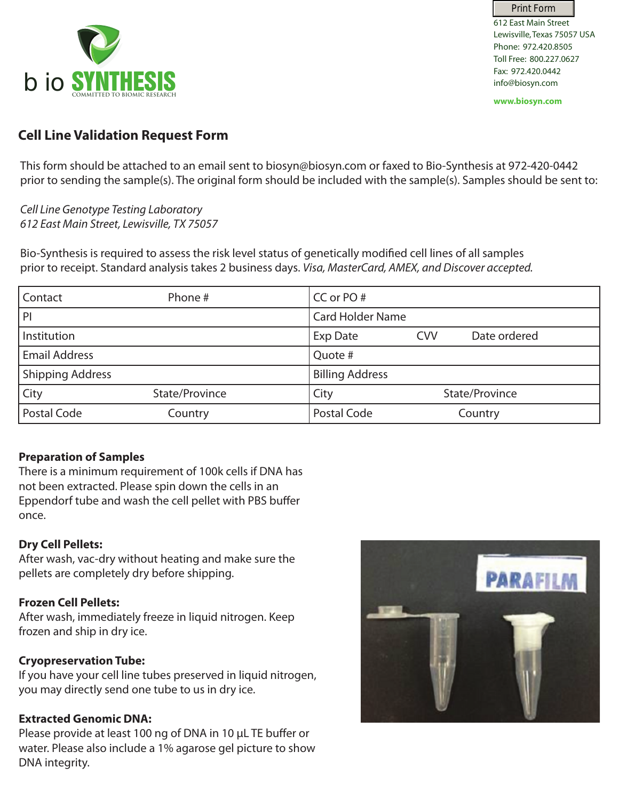

612 East Main Street Lewisville, Texas 75057 USA Phone: 972.420.8505 Toll Free: 800.227.0627 Fax: 972.420.0442 info@biosyn.com Print Form

**www.biosyn.com**

# **Cell Line Validation Request Form**

This form should be attached to an email sent to biosyn@biosyn.com or faxed to Bio-Synthesis at 972-420-0442 prior to sending the sample(s). The original form should be included with the sample(s). Samples should be sent to:

*Cell Line Genotype Testing Laboratory 612 East Main Street, Lewisville, TX 75057*

Bio-Synthesis is required to assess the risk level status of genetically modified cell lines of all samples prior to receipt. Standard analysis takes 2 business days. *Visa, MasterCard, AMEX, and Discover accepted.*

| Contact                 | Phone #        | CC or PO#               |            |                |
|-------------------------|----------------|-------------------------|------------|----------------|
| P                       |                | <b>Card Holder Name</b> |            |                |
| Institution             |                | <b>Exp Date</b>         | <b>CVV</b> | Date ordered   |
| <b>Email Address</b>    |                | Quote #                 |            |                |
| <b>Shipping Address</b> |                | <b>Billing Address</b>  |            |                |
| City                    | State/Province | City                    |            | State/Province |
| Postal Code             | Country        | Postal Code             |            | Country        |

# **Preparation of Samples**

There is a minimum requirement of 100k cells if DNA has not been extracted. Please spin down the cells in an Eppendorf tube and wash the cell pellet with PBS buffer once.

# **Dry Cell Pellets:**

After wash, vac-dry without heating and make sure the pellets are completely dry before shipping.

# **Frozen Cell Pellets:**

After wash, immediately freeze in liquid nitrogen. Keep frozen and ship in dry ice.

# **Cryopreservation Tube:**

If you have your cell line tubes preserved in liquid nitrogen, you may directly send one tube to us in dry ice.

# **Extracted Genomic DNA:**

Please provide at least 100 ng of DNA in 10 μL TE buffer or water. Please also include a 1% agarose gel picture to show DNA integrity.

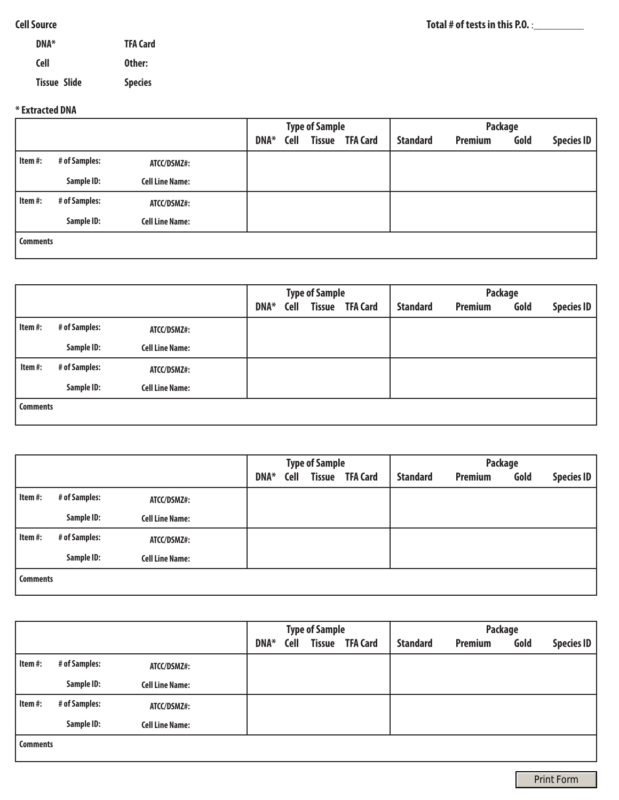### **Cell Source**

| DNA*                | <b>TFA Card</b> |
|---------------------|-----------------|
| <b>Cell</b>         | Other:          |
| <b>Tissue Slide</b> | <b>Species</b>  |

#### **\* Extracted DNA**

|                 |               |                        | <b>Type of Sample</b> |             |  |                        | Package         |                |      |                   |  |
|-----------------|---------------|------------------------|-----------------------|-------------|--|------------------------|-----------------|----------------|------|-------------------|--|
|                 |               |                        | DNA*                  | <b>Cell</b> |  | <b>Tissue TFA Card</b> | <b>Standard</b> | <b>Premium</b> | Gold | <b>Species ID</b> |  |
| Item #:         | # of Samples: | ATCC/DSMZ#:            |                       |             |  |                        |                 |                |      |                   |  |
|                 | Sample ID:    | <b>Cell Line Name:</b> |                       |             |  |                        |                 |                |      |                   |  |
| Item #:         | # of Samples: | ATCC/DSMZ#:            |                       |             |  |                        |                 |                |      |                   |  |
|                 | Sample ID:    | <b>Cell Line Name:</b> |                       |             |  |                        |                 |                |      |                   |  |
| <b>Comments</b> |               |                        |                       |             |  |                        |                 |                |      |                   |  |
|                 |               |                        |                       |             |  |                        |                 |                |      |                   |  |

|                 |               |                        | <b>Type of Sample</b> |             |  |                        | Package         |                |      |                   |  |
|-----------------|---------------|------------------------|-----------------------|-------------|--|------------------------|-----------------|----------------|------|-------------------|--|
|                 |               |                        | DNA*                  | <b>Cell</b> |  | <b>Tissue TFA Card</b> | <b>Standard</b> | <b>Premium</b> | Gold | <b>Species ID</b> |  |
| Item #:         | # of Samples: | ATCC/DSMZ#:            |                       |             |  |                        |                 |                |      |                   |  |
|                 | Sample ID:    | <b>Cell Line Name:</b> |                       |             |  |                        |                 |                |      |                   |  |
| Item#:          | # of Samples: | ATCC/DSMZ#:            |                       |             |  |                        |                 |                |      |                   |  |
|                 | Sample ID:    | <b>Cell Line Name:</b> |                       |             |  |                        |                 |                |      |                   |  |
| <b>Comments</b> |               |                        |                       |             |  |                        |                 |                |      |                   |  |

|                 |               |                        |             |             | <b>Type of Sample</b> |                        | <b>Package</b>  |                |      |                   |  |
|-----------------|---------------|------------------------|-------------|-------------|-----------------------|------------------------|-----------------|----------------|------|-------------------|--|
|                 |               |                        | <b>DNA*</b> | <b>Cell</b> |                       | <b>Tissue TFA Card</b> | <b>Standard</b> | <b>Premium</b> | Gold | <b>Species ID</b> |  |
| Item #:         | # of Samples: | ATCC/DSMZ#:            |             |             |                       |                        |                 |                |      |                   |  |
|                 | Sample ID:    | <b>Cell Line Name:</b> |             |             |                       |                        |                 |                |      |                   |  |
| Item #:         | # of Samples: | ATCC/DSMZ#:            |             |             |                       |                        |                 |                |      |                   |  |
|                 | Sample ID:    | <b>Cell Line Name:</b> |             |             |                       |                        |                 |                |      |                   |  |
| <b>Comments</b> |               |                        |             |             |                       |                        |                 |                |      |                   |  |

|                 |               |                        |      |             | <b>Type of Sample</b> |                        | Package         |                |      |                   |
|-----------------|---------------|------------------------|------|-------------|-----------------------|------------------------|-----------------|----------------|------|-------------------|
|                 |               |                        | DNA* | <b>Cell</b> |                       | <b>Tissue TFA Card</b> | <b>Standard</b> | <b>Premium</b> | Gold | <b>Species ID</b> |
| Item#:          | # of Samples: | ATCC/DSMZ#:            |      |             |                       |                        |                 |                |      |                   |
|                 | Sample ID:    | <b>Cell Line Name:</b> |      |             |                       |                        |                 |                |      |                   |
| Item#:          | # of Samples: | ATCC/DSMZ#:            |      |             |                       |                        |                 |                |      |                   |
|                 | Sample ID:    | <b>Cell Line Name:</b> |      |             |                       |                        |                 |                |      |                   |
| <b>Comments</b> |               |                        |      |             |                       |                        |                 |                |      |                   |